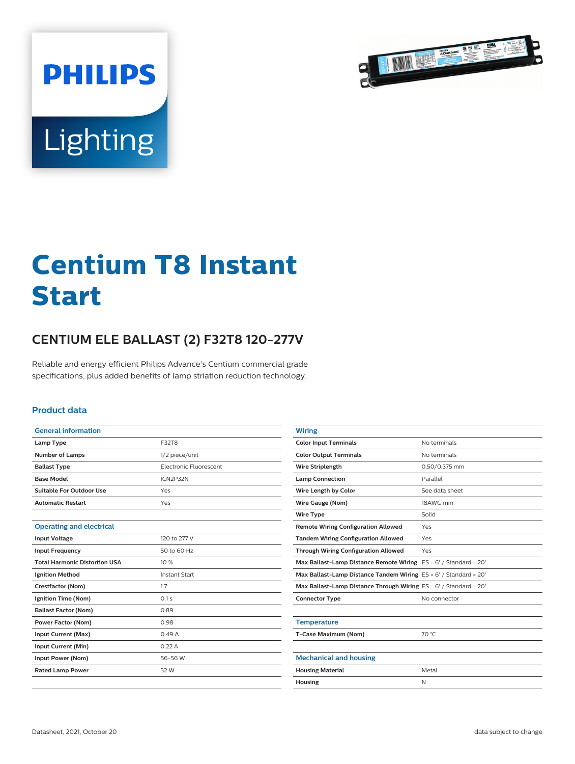

# Lighting

**PHILIPS** 

## **Centium T8 Instant Start**

### **CENTIUM ELE BALLAST (2) F32T8 120-277V**

Reliable and energy efficient Philips Advance's Centium commercial grade specifications, plus added benefits of lamp striation reduction technology.

#### **Product data**

| <b>General information</b>           |                               |
|--------------------------------------|-------------------------------|
| Lamp Type                            | F32T8                         |
| <b>Number of Lamps</b>               | 1/2 piece/unit                |
| <b>Ballast Type</b>                  | <b>Electronic Eluorescent</b> |
| <b>Base Model</b>                    | ICN2P32N                      |
| Suitable For Outdoor Use             | Yes                           |
| <b>Automatic Restart</b>             | Yes                           |
|                                      |                               |
| <b>Operating and electrical</b>      |                               |
| <b>Input Voltage</b>                 | 120 to 277 V                  |
| <b>Input Frequency</b>               | 50 to 60 Hz                   |
| <b>Total Harmonic Distortion USA</b> | 10%                           |
| <b>Ignition Method</b>               | <b>Instant Start</b>          |
| Crestfactor (Nom)                    | 1.7                           |
| Ignition Time (Nom)                  | 0.1s                          |
| <b>Ballast Factor (Nom)</b>          | 0.89                          |
| Power Factor (Nom)                   | 0.98                          |
| Input Current (Max)                  | 0.49A                         |
| <b>Input Current (Min)</b>           | 0.22A                         |
| Input Power (Nom)                    | 56-56 W                       |
| <b>Rated Lamp Power</b>              | 32 W                          |
|                                      |                               |

| <b>Wiring</b>                                                      |                |
|--------------------------------------------------------------------|----------------|
| <b>Color Input Terminals</b>                                       | No terminals   |
| <b>Color Output Terminals</b>                                      | No terminals   |
| <b>Wire Striplength</b>                                            | 0.50/0.375 mm  |
| <b>Lamp Connection</b>                                             | Parallel       |
| Wire Length by Color                                               | See data sheet |
| Wire Gauge (Nom)                                                   | 18AWG mm       |
| <b>Wire Type</b>                                                   | Solid          |
| <b>Remote Wiring Configuration Allowed</b>                         | Yes            |
| <b>Tandem Wiring Configuration Allowed</b>                         | Yes            |
| <b>Through Wiring Configuration Allowed</b>                        | Yes            |
| Max Ballast-Lamp Distance Remote Wiring $ES = 6'$ / Standard = 20' |                |
| Max Ballast-Lamp Distance Tandem Wiring ES = 6' / Standard = 20'   |                |
| Max Ballast-Lamp Distance Through Wiring ES = 6' / Standard = 20'  |                |
| <b>Connector Type</b>                                              | No connector   |
|                                                                    |                |
| <b>Temperature</b>                                                 |                |
| T-Case Maximum (Nom)                                               | 70 °C          |
|                                                                    |                |
| <b>Mechanical and housing</b>                                      |                |
| <b>Housing Material</b>                                            | Metal          |
| Housing                                                            | N              |